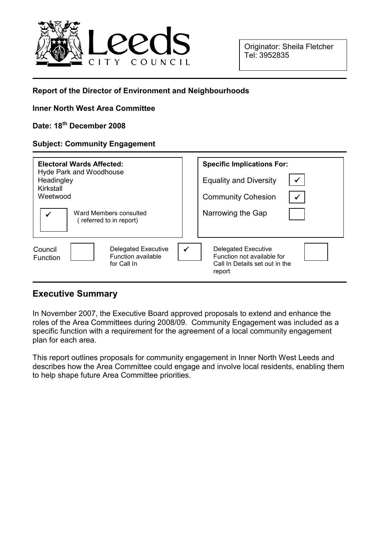

### Report of the Director of Environment and Neighbourhoods

#### Inner North West Area Committee

# Date: 18th December 2008

#### Subject: Community Engagement

| Electoral Wards Affected:<br><b>Hyde Park and Woodhouse</b><br>Headingley<br>Kirkstall<br>Weetwood<br>Ward Members consulted<br>(referred to in report) | <b>Specific Implications For:</b><br><b>Equality and Diversity</b><br><b>Community Cohesion</b><br>Narrowing the Gap |
|---------------------------------------------------------------------------------------------------------------------------------------------------------|----------------------------------------------------------------------------------------------------------------------|
| Council                                                                                                                                                 | $\checkmark$                                                                                                         |
| <b>Delegated Executive</b>                                                                                                                              | <b>Delegated Executive</b>                                                                                           |
| <b>Function available</b>                                                                                                                               | Function not available for                                                                                           |
| <b>Function</b>                                                                                                                                         | Call In Details set out in the                                                                                       |
| for Call In                                                                                                                                             | report                                                                                                               |

### Executive Summary

In November 2007, the Executive Board approved proposals to extend and enhance the roles of the Area Committees during 2008/09. Community Engagement was included as a specific function with a requirement for the agreement of a local community engagement plan for each area.

This report outlines proposals for community engagement in Inner North West Leeds and describes how the Area Committee could engage and involve local residents, enabling them to help shape future Area Committee priorities.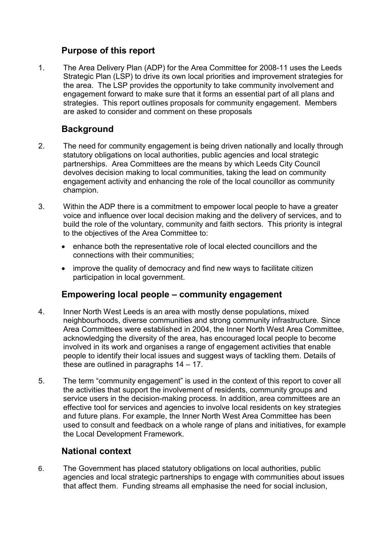# Purpose of this report

1. The Area Delivery Plan (ADP) for the Area Committee for 2008-11 uses the Leeds Strategic Plan (LSP) to drive its own local priorities and improvement strategies for the area. The LSP provides the opportunity to take community involvement and engagement forward to make sure that it forms an essential part of all plans and strategies. This report outlines proposals for community engagement. Members are asked to consider and comment on these proposals

# **Background**

- 2. The need for community engagement is being driven nationally and locally through statutory obligations on local authorities, public agencies and local strategic partnerships. Area Committees are the means by which Leeds City Council devolves decision making to local communities, taking the lead on community engagement activity and enhancing the role of the local councillor as community champion.
- 3. Within the ADP there is a commitment to empower local people to have a greater voice and influence over local decision making and the delivery of services, and to build the role of the voluntary, community and faith sectors. This priority is integral to the objectives of the Area Committee to:
	- enhance both the representative role of local elected councillors and the connections with their communities;
	- improve the quality of democracy and find new ways to facilitate citizen participation in local government.

## Empowering local people – community engagement

- 4. Inner North West Leeds is an area with mostly dense populations, mixed neighbourhoods, diverse communities and strong community infrastructure. Since Area Committees were established in 2004, the Inner North West Area Committee, acknowledging the diversity of the area, has encouraged local people to become involved in its work and organises a range of engagement activities that enable people to identify their local issues and suggest ways of tackling them. Details of these are outlined in paragraphs 14 – 17.
- 5. The term "community engagement" is used in the context of this report to cover all the activities that support the involvement of residents, community groups and service users in the decision-making process. In addition, area committees are an effective tool for services and agencies to involve local residents on key strategies and future plans. For example, the Inner North West Area Committee has been used to consult and feedback on a whole range of plans and initiatives, for example the Local Development Framework.

# National context

6. The Government has placed statutory obligations on local authorities, public agencies and local strategic partnerships to engage with communities about issues that affect them. Funding streams all emphasise the need for social inclusion,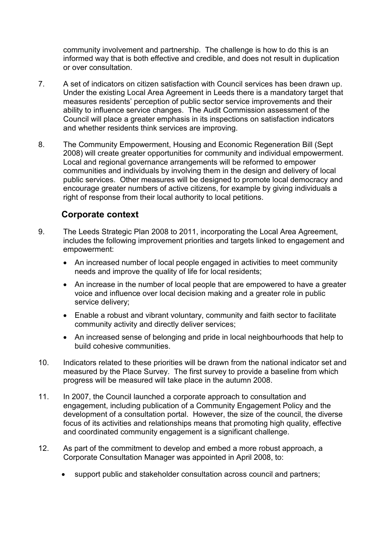community involvement and partnership. The challenge is how to do this is an informed way that is both effective and credible, and does not result in duplication or over consultation.

- 7. A set of indicators on citizen satisfaction with Council services has been drawn up. Under the existing Local Area Agreement in Leeds there is a mandatory target that measures residents' perception of public sector service improvements and their ability to influence service changes. The Audit Commission assessment of the Council will place a greater emphasis in its inspections on satisfaction indicators and whether residents think services are improving.
- 8. The Community Empowerment, Housing and Economic Regeneration Bill (Sept 2008) will create greater opportunities for community and individual empowerment. Local and regional governance arrangements will be reformed to empower communities and individuals by involving them in the design and delivery of local public services. Other measures will be designed to promote local democracy and encourage greater numbers of active citizens, for example by giving individuals a right of response from their local authority to local petitions.

## Corporate context

- 9. The Leeds Strategic Plan 2008 to 2011, incorporating the Local Area Agreement, includes the following improvement priorities and targets linked to engagement and empowerment:
	- An increased number of local people engaged in activities to meet community needs and improve the quality of life for local residents;
	- An increase in the number of local people that are empowered to have a greater voice and influence over local decision making and a greater role in public service delivery;
	- Enable a robust and vibrant voluntary, community and faith sector to facilitate community activity and directly deliver services;
	- An increased sense of belonging and pride in local neighbourhoods that help to build cohesive communities.
- 10. Indicators related to these priorities will be drawn from the national indicator set and measured by the Place Survey. The first survey to provide a baseline from which progress will be measured will take place in the autumn 2008.
- 11. In 2007, the Council launched a corporate approach to consultation and engagement, including publication of a Community Engagement Policy and the development of a consultation portal. However, the size of the council, the diverse focus of its activities and relationships means that promoting high quality, effective and coordinated community engagement is a significant challenge.
- 12. As part of the commitment to develop and embed a more robust approach, a Corporate Consultation Manager was appointed in April 2008, to:
	- support public and stakeholder consultation across council and partners;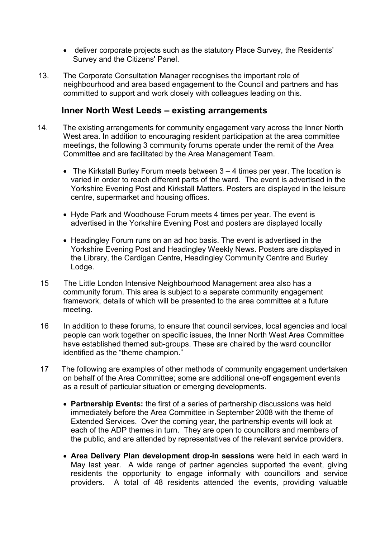- deliver corporate projects such as the statutory Place Survey, the Residents' Survey and the Citizens' Panel.
- 13. The Corporate Consultation Manager recognises the important role of neighbourhood and area based engagement to the Council and partners and has committed to support and work closely with colleagues leading on this.

### Inner North West Leeds – existing arrangements

- 14. The existing arrangements for community engagement vary across the Inner North West area. In addition to encouraging resident participation at the area committee meetings, the following 3 community forums operate under the remit of the Area Committee and are facilitated by the Area Management Team.
	- The Kirkstall Burley Forum meets between 3 4 times per year. The location is varied in order to reach different parts of the ward. The event is advertised in the Yorkshire Evening Post and Kirkstall Matters. Posters are displayed in the leisure centre, supermarket and housing offices.
	- Hyde Park and Woodhouse Forum meets 4 times per year. The event is advertised in the Yorkshire Evening Post and posters are displayed locally
	- Headingley Forum runs on an ad hoc basis. The event is advertised in the Yorkshire Evening Post and Headingley Weekly News. Posters are displayed in the Library, the Cardigan Centre, Headingley Community Centre and Burley Lodge.
- 15 The Little London Intensive Neighbourhood Management area also has a community forum. This area is subject to a separate community engagement framework, details of which will be presented to the area committee at a future meeting.
- 16 In addition to these forums, to ensure that council services, local agencies and local people can work together on specific issues, the Inner North West Area Committee have established themed sub-groups. These are chaired by the ward councillor identified as the "theme champion."
- 17 The following are examples of other methods of community engagement undertaken on behalf of the Area Committee; some are additional one-off engagement events as a result of particular situation or emerging developments.
	- Partnership Events: the first of a series of partnership discussions was held immediately before the Area Committee in September 2008 with the theme of Extended Services. Over the coming year, the partnership events will look at each of the ADP themes in turn. They are open to councillors and members of the public, and are attended by representatives of the relevant service providers.
	- Area Delivery Plan development drop-in sessions were held in each ward in May last year. A wide range of partner agencies supported the event, giving residents the opportunity to engage informally with councillors and service providers. A total of 48 residents attended the events, providing valuable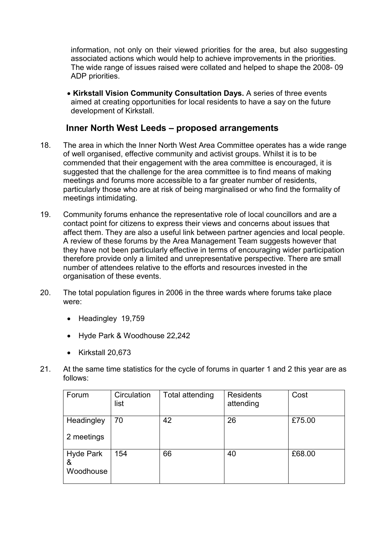information, not only on their viewed priorities for the area, but also suggesting associated actions which would help to achieve improvements in the priorities. The wide range of issues raised were collated and helped to shape the 2008- 09 ADP priorities.

• Kirkstall Vision Community Consultation Days. A series of three events aimed at creating opportunities for local residents to have a say on the future development of Kirkstall.

## Inner North West Leeds – proposed arrangements

- 18. The area in which the Inner North West Area Committee operates has a wide range of well organised, effective community and activist groups. Whilst it is to be commended that their engagement with the area committee is encouraged, it is suggested that the challenge for the area committee is to find means of making meetings and forums more accessible to a far greater number of residents, particularly those who are at risk of being marginalised or who find the formality of meetings intimidating.
- 19. Community forums enhance the representative role of local councillors and are a contact point for citizens to express their views and concerns about issues that affect them. They are also a useful link between partner agencies and local people. A review of these forums by the Area Management Team suggests however that they have not been particularly effective in terms of encouraging wider participation therefore provide only a limited and unrepresentative perspective. There are small number of attendees relative to the efforts and resources invested in the organisation of these events.
- 20. The total population figures in 2006 in the three wards where forums take place were:
	- Headingley 19,759
	- Hyde Park & Woodhouse 22,242
	- Kirkstall 20,673
- 21. At the same time statistics for the cycle of forums in quarter 1 and 2 this year are as follows:

| Forum                              | Circulation<br>list | Total attending | <b>Residents</b><br>attending | Cost   |
|------------------------------------|---------------------|-----------------|-------------------------------|--------|
| Headingley                         | 70                  | 42              | 26                            | £75.00 |
| 2 meetings                         |                     |                 |                               |        |
| <b>Hyde Park</b><br>&<br>Woodhouse | 154                 | 66              | 40                            | £68.00 |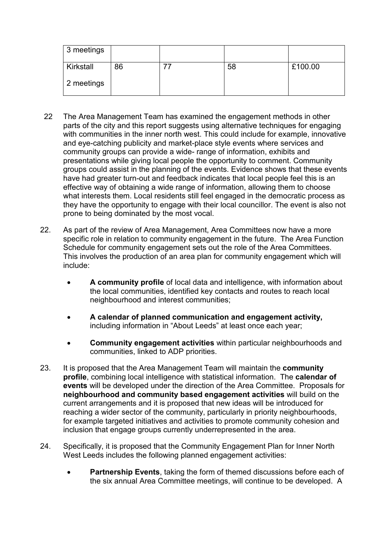| 3 meetings |    |    |         |
|------------|----|----|---------|
| Kirkstall  | 86 | 58 | £100.00 |
| 2 meetings |    |    |         |

- 22 The Area Management Team has examined the engagement methods in other parts of the city and this report suggests using alternative techniques for engaging with communities in the inner north west. This could include for example, innovative and eye-catching publicity and market-place style events where services and community groups can provide a wide- range of information, exhibits and presentations while giving local people the opportunity to comment. Community groups could assist in the planning of the events. Evidence shows that these events have had greater turn-out and feedback indicates that local people feel this is an effective way of obtaining a wide range of information, allowing them to choose what interests them. Local residents still feel engaged in the democratic process as they have the opportunity to engage with their local councillor. The event is also not prone to being dominated by the most vocal.
- 22. As part of the review of Area Management, Area Committees now have a more specific role in relation to community engagement in the future. The Area Function Schedule for community engagement sets out the role of the Area Committees. This involves the production of an area plan for community engagement which will include:
	- A community profile of local data and intelligence, with information about the local communities, identified key contacts and routes to reach local neighbourhood and interest communities;
	- A calendar of planned communication and engagement activity, including information in "About Leeds" at least once each year;
	- Community engagement activities within particular neighbourhoods and communities, linked to ADP priorities.
- 23. It is proposed that the Area Management Team will maintain the community profile, combining local intelligence with statistical information. The calendar of events will be developed under the direction of the Area Committee. Proposals for neighbourhood and community based engagement activities will build on the current arrangements and it is proposed that new ideas will be introduced for reaching a wider sector of the community, particularly in priority neighbourhoods, for example targeted initiatives and activities to promote community cohesion and inclusion that engage groups currently underrepresented in the area.
- 24. Specifically, it is proposed that the Community Engagement Plan for Inner North West Leeds includes the following planned engagement activities:
	- Partnership Events, taking the form of themed discussions before each of the six annual Area Committee meetings, will continue to be developed. A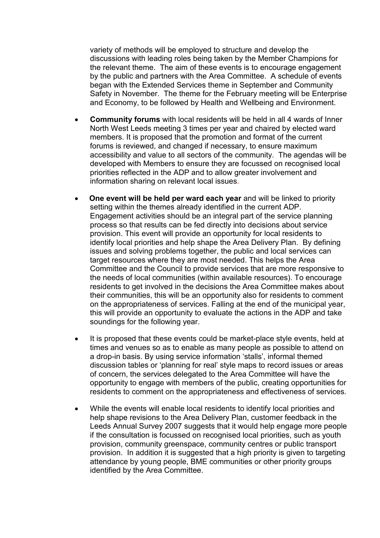variety of methods will be employed to structure and develop the discussions with leading roles being taken by the Member Champions for the relevant theme. The aim of these events is to encourage engagement by the public and partners with the Area Committee. A schedule of events began with the Extended Services theme in September and Community Safety in November. The theme for the February meeting will be Enterprise and Economy, to be followed by Health and Wellbeing and Environment.

- Community forums with local residents will be held in all 4 wards of Inner North West Leeds meeting 3 times per year and chaired by elected ward members. It is proposed that the promotion and format of the current forums is reviewed, and changed if necessary, to ensure maximum accessibility and value to all sectors of the community. The agendas will be developed with Members to ensure they are focussed on recognised local priorities reflected in the ADP and to allow greater involvement and information sharing on relevant local issues.
- One event will be held per ward each year and will be linked to priority setting within the themes already identified in the current ADP. Engagement activities should be an integral part of the service planning process so that results can be fed directly into decisions about service provision. This event will provide an opportunity for local residents to identify local priorities and help shape the Area Delivery Plan. By defining issues and solving problems together, the public and local services can target resources where they are most needed. This helps the Area Committee and the Council to provide services that are more responsive to the needs of local communities (within available resources). To encourage residents to get involved in the decisions the Area Committee makes about their communities, this will be an opportunity also for residents to comment on the appropriateness of services. Falling at the end of the municipal year, this will provide an opportunity to evaluate the actions in the ADP and take soundings for the following year.
- It is proposed that these events could be market-place style events, held at times and venues so as to enable as many people as possible to attend on a drop-in basis. By using service information 'stalls', informal themed discussion tables or 'planning for real' style maps to record issues or areas of concern, the services delegated to the Area Committee will have the opportunity to engage with members of the public, creating opportunities for residents to comment on the appropriateness and effectiveness of services.
- While the events will enable local residents to identify local priorities and help shape revisions to the Area Delivery Plan, customer feedback in the Leeds Annual Survey 2007 suggests that it would help engage more people if the consultation is focussed on recognised local priorities, such as youth provision, community greenspace, community centres or public transport provision. In addition it is suggested that a high priority is given to targeting attendance by young people, BME communities or other priority groups identified by the Area Committee.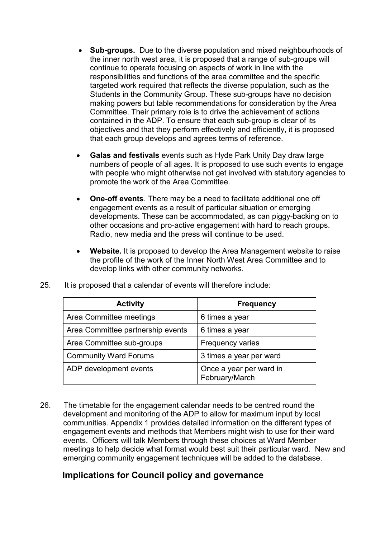- Sub-groups. Due to the diverse population and mixed neighbourhoods of the inner north west area, it is proposed that a range of sub-groups will continue to operate focusing on aspects of work in line with the responsibilities and functions of the area committee and the specific targeted work required that reflects the diverse population, such as the Students in the Community Group. These sub-groups have no decision making powers but table recommendations for consideration by the Area Committee. Their primary role is to drive the achievement of actions contained in the ADP. To ensure that each sub-group is clear of its objectives and that they perform effectively and efficiently, it is proposed that each group develops and agrees terms of reference.
- Galas and festivals events such as Hyde Park Unity Day draw large numbers of people of all ages. It is proposed to use such events to engage with people who might otherwise not get involved with statutory agencies to promote the work of the Area Committee.
- One-off events. There may be a need to facilitate additional one off engagement events as a result of particular situation or emerging developments. These can be accommodated, as can piggy-backing on to other occasions and pro-active engagement with hard to reach groups. Radio, new media and the press will continue to be used.
- Website. It is proposed to develop the Area Management website to raise the profile of the work of the Inner North West Area Committee and to develop links with other community networks.

| <b>Activity</b>                   | <b>Frequency</b>                          |
|-----------------------------------|-------------------------------------------|
| Area Committee meetings           | 6 times a year                            |
| Area Committee partnership events | 6 times a year                            |
| Area Committee sub-groups         | <b>Frequency varies</b>                   |
| <b>Community Ward Forums</b>      | 3 times a year per ward                   |
| ADP development events            | Once a year per ward in<br>February/March |

25. It is proposed that a calendar of events will therefore include:

26. The timetable for the engagement calendar needs to be centred round the development and monitoring of the ADP to allow for maximum input by local communities. Appendix 1 provides detailed information on the different types of engagement events and methods that Members might wish to use for their ward events. Officers will talk Members through these choices at Ward Member meetings to help decide what format would best suit their particular ward. New and emerging community engagement techniques will be added to the database.

## Implications for Council policy and governance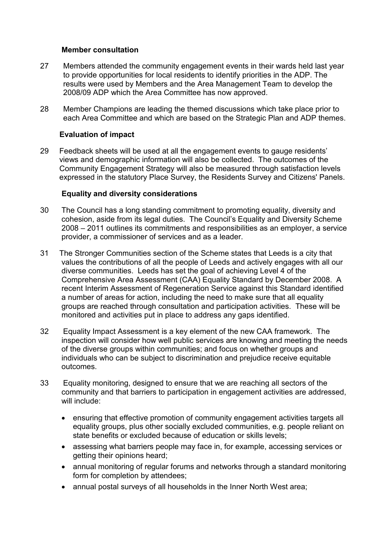#### Member consultation

- 27 Members attended the community engagement events in their wards held last year to provide opportunities for local residents to identify priorities in the ADP. The results were used by Members and the Area Management Team to develop the 2008/09 ADP which the Area Committee has now approved.
- 28 Member Champions are leading the themed discussions which take place prior to each Area Committee and which are based on the Strategic Plan and ADP themes.

### Evaluation of impact

29 Feedback sheets will be used at all the engagement events to gauge residents' views and demographic information will also be collected. The outcomes of the Community Engagement Strategy will also be measured through satisfaction levels expressed in the statutory Place Survey, the Residents Survey and Citizens' Panels.

#### Equality and diversity considerations

- 30 The Council has a long standing commitment to promoting equality, diversity and cohesion, aside from its legal duties. The Council's Equality and Diversity Scheme 2008 – 2011 outlines its commitments and responsibilities as an employer, a service provider, a commissioner of services and as a leader.
- 31 The Stronger Communities section of the Scheme states that Leeds is a city that values the contributions of all the people of Leeds and actively engages with all our diverse communities. Leeds has set the goal of achieving Level 4 of the Comprehensive Area Assessment (CAA) Equality Standard by December 2008. A recent Interim Assessment of Regeneration Service against this Standard identified a number of areas for action, including the need to make sure that all equality groups are reached through consultation and participation activities. These will be monitored and activities put in place to address any gaps identified.
- 32 Equality Impact Assessment is a key element of the new CAA framework. The inspection will consider how well public services are knowing and meeting the needs of the diverse groups within communities; and focus on whether groups and individuals who can be subject to discrimination and prejudice receive equitable outcomes.
- 33 Equality monitoring, designed to ensure that we are reaching all sectors of the community and that barriers to participation in engagement activities are addressed, will include:
	- ensuring that effective promotion of community engagement activities targets all equality groups, plus other socially excluded communities, e.g. people reliant on state benefits or excluded because of education or skills levels;
	- assessing what barriers people may face in, for example, accessing services or getting their opinions heard;
	- annual monitoring of regular forums and networks through a standard monitoring form for completion by attendees;
	- annual postal surveys of all households in the Inner North West area;